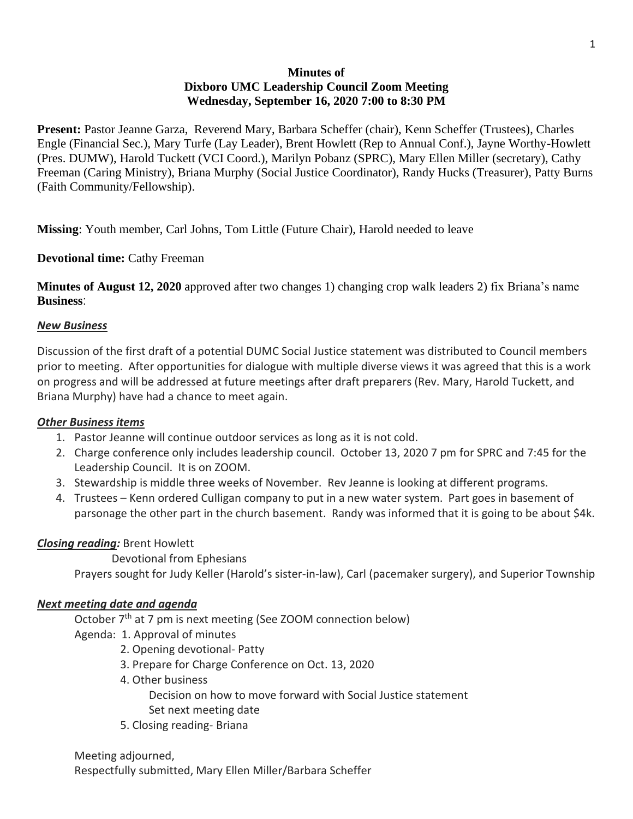# **Minutes of Dixboro UMC Leadership Council Zoom Meeting Wednesday, September 16, 2020 7:00 to 8:30 PM**

**Present:** Pastor Jeanne Garza, Reverend Mary, Barbara Scheffer (chair), Kenn Scheffer (Trustees), Charles Engle (Financial Sec.), Mary Turfe (Lay Leader), Brent Howlett (Rep to Annual Conf.), Jayne Worthy-Howlett (Pres. DUMW), Harold Tuckett (VCI Coord.), Marilyn Pobanz (SPRC), Mary Ellen Miller (secretary), Cathy Freeman (Caring Ministry), Briana Murphy (Social Justice Coordinator), Randy Hucks (Treasurer), Patty Burns (Faith Community/Fellowship).

**Missing**: Youth member, Carl Johns, Tom Little (Future Chair), Harold needed to leave

**Devotional time:** Cathy Freeman

**Minutes of August 12, 2020** approved after two changes 1) changing crop walk leaders 2) fix Briana's name **Business**:

## *New Business*

Discussion of the first draft of a potential DUMC Social Justice statement was distributed to Council members prior to meeting. After opportunities for dialogue with multiple diverse views it was agreed that this is a work on progress and will be addressed at future meetings after draft preparers (Rev. Mary, Harold Tuckett, and Briana Murphy) have had a chance to meet again.

## *Other Business items*

- 1. Pastor Jeanne will continue outdoor services as long as it is not cold.
- 2. Charge conference only includes leadership council. October 13, 2020 7 pm for SPRC and 7:45 for the Leadership Council. It is on ZOOM.
- 3. Stewardship is middle three weeks of November. Rev Jeanne is looking at different programs.
- 4. Trustees Kenn ordered Culligan company to put in a new water system. Part goes in basement of parsonage the other part in the church basement. Randy was informed that it is going to be about \$4k.

## *Closing reading:* Brent Howlett

Devotional from Ephesians

Prayers sought for Judy Keller (Harold's sister-in-law), Carl (pacemaker surgery), and Superior Township

### *Next meeting date and agenda*

October 7<sup>th</sup> at 7 pm is next meeting (See ZOOM connection below)

- Agenda: 1. Approval of minutes
	- 2. Opening devotional- Patty
	- 3. Prepare for Charge Conference on Oct. 13, 2020
	- 4. Other business

Decision on how to move forward with Social Justice statement Set next meeting date

5. Closing reading- Briana

Meeting adjourned, Respectfully submitted, Mary Ellen Miller/Barbara Scheffer